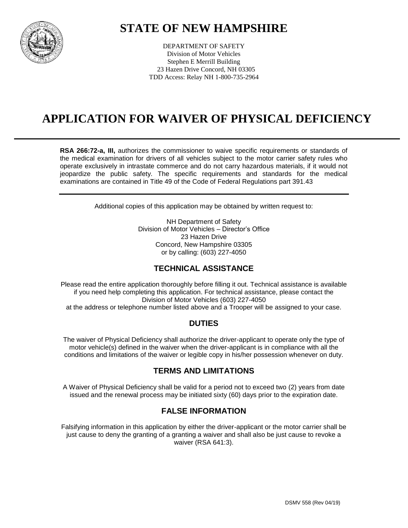

### **STATE OF NEW HAMPSHIRE**

DEPARTMENT OF SAFETY Division of Motor Vehicles Stephen E Merrill Building 23 Hazen Drive Concord, NH 03305 TDD Access: Relay NH 1-800-735-2964

### **APPLICATION FOR WAIVER OF PHYSICAL DEFICIENCY**

**RSA 266:72-a, III,** authorizes the commissioner to waive specific requirements or standards of the medical examination for drivers of all vehicles subject to the motor carrier safety rules who operate exclusively in intrastate commerce and do not carry hazardous materials, if it would not jeopardize the public safety. The specific requirements and standards for the medical examinations are contained in Title 49 of the Code of Federal Regulations part 391.43

Additional copies of this application may be obtained by written request to:

NH Department of Safety Division of Motor Vehicles – Director's Office 23 Hazen Drive Concord, New Hampshire 03305 or by calling: (603) 227-4050

#### **TECHNICAL ASSISTANCE**

Please read the entire application thoroughly before filling it out. Technical assistance is available if you need help completing this application. For technical assistance, please contact the Division of Motor Vehicles (603) 227-4050 at the address or telephone number listed above and a Trooper will be assigned to your case.

#### **DUTIES**

The waiver of Physical Deficiency shall authorize the driver-applicant to operate only the type of motor vehicle(s) defined in the waiver when the driver-applicant is in compliance with all the conditions and limitations of the waiver or legible copy in his/her possession whenever on duty.

#### **TERMS AND LIMITATIONS**

A Waiver of Physical Deficiency shall be valid for a period not to exceed two (2) years from date issued and the renewal process may be initiated sixty (60) days prior to the expiration date.

#### **FALSE INFORMATION**

Falsifying information in this application by either the driver-applicant or the motor carrier shall be just cause to deny the granting of a granting a waiver and shall also be just cause to revoke a waiver (RSA 641:3).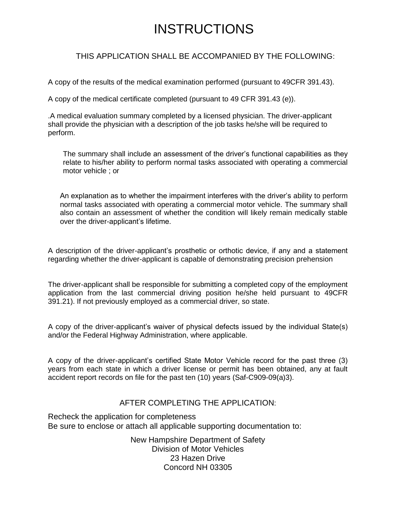## **INSTRUCTIONS**

#### THIS APPLICATION SHALL BE ACCOMPANIED BY THE FOLLOWING:

A copy of the results of the medical examination performed (pursuant to 49CFR 391.43).

A copy of the medical certificate completed (pursuant to 49 CFR 391.43 (e)).

.A medical evaluation summary completed by a licensed physician. The driver-applicant shall provide the physician with a description of the job tasks he/she will be required to perform.

The summary shall include an assessment of the driver's functional capabilities as they relate to his/her ability to perform normal tasks associated with operating a commercial motor vehicle ; or

An explanation as to whether the impairment interferes with the driver's ability to perform normal tasks associated with operating a commercial motor vehicle. The summary shall also contain an assessment of whether the condition will likely remain medically stable over the driver-applicant's lifetime.

A description of the driver-applicant's prosthetic or orthotic device, if any and a statement regarding whether the driver-applicant is capable of demonstrating precision prehension

The driver-applicant shall be responsible for submitting a completed copy of the employment application from the last commercial driving position he/she held pursuant to 49CFR 391.21). If not previously employed as a commercial driver, so state.

A copy of the driver-applicant's waiver of physical defects issued by the individual State(s) and/or the Federal Highway Administration, where applicable.

A copy of the driver-applicant's certified State Motor Vehicle record for the past three (3) years from each state in which a driver license or permit has been obtained, any at fault accident report records on file for the past ten (10) years (Saf-C909-09(a)3).

#### AFTER COMPLETING THE APPLICATION:

Recheck the application for completeness Be sure to enclose or attach all applicable supporting documentation to:

> New Hampshire Department of Safety Division of Motor Vehicles 23 Hazen Drive Concord NH 03305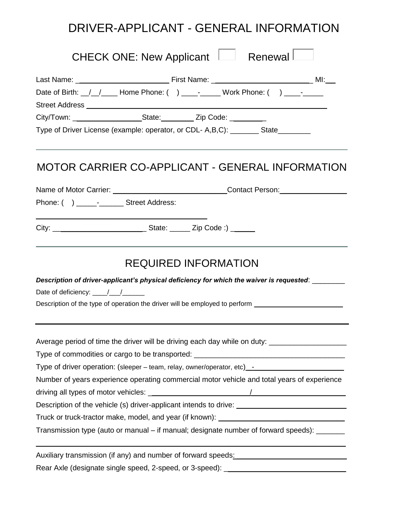## DRIVER-APPLICANT - GENERAL INFORMATION

| Renewal<br>CHECK ONE: New Applicant                                                                                                                           |
|---------------------------------------------------------------------------------------------------------------------------------------------------------------|
| Date of Birth: _/_/_____ Home Phone: () ____-_____ Work Phone: () ____-___                                                                                    |
| City/Town: ________________________State:__________ Zip Code: __________<br>Type of Driver License (example: operator, or CDL- A,B,C): ________ State________ |
| MOTOR CARRIER CO-APPLICANT - GENERAL INFORMATION                                                                                                              |
| Name of Motor Carrier: _________________________________Contact Person: ____________________________                                                          |
| Phone: () _________________ Street Address:                                                                                                                   |
|                                                                                                                                                               |
| <b>REQUIRED INFORMATION</b>                                                                                                                                   |
| Description of driver-applicant's physical deficiency for which the waiver is requested: ________                                                             |
| Date of deficiency: $\frac{1}{\sqrt{1-\frac{1}{2}}}\frac{1}{\sqrt{1-\frac{1}{2}}}}$                                                                           |
| Description of the type of operation the driver will be employed to perform _______________________                                                           |
| Average period of time the driver will be driving each day while on duty:                                                                                     |
| Type of commodities or cargo to be transported: ________________________________                                                                              |
| Type of driver operation: (sleeper – team, relay, owner/operator, etc) _- _________________________                                                           |
| Number of years experience operating commercial motor vehicle and total years of experience                                                                   |
|                                                                                                                                                               |
| Description of the vehicle (s) driver-applicant intends to drive: _________________________________                                                           |
| Truck or truck-tractor make, model, and year (if known): ________________________                                                                             |
| Transmission type (auto or manual - if manual; designate number of forward speeds): _______                                                                   |
| Auxiliary transmission (if any) and number of forward speeds: Network and the manuscription of the Auxiliary A                                                |
| Rear Axle (designate single speed, 2-speed, or 3-speed): ________________________                                                                             |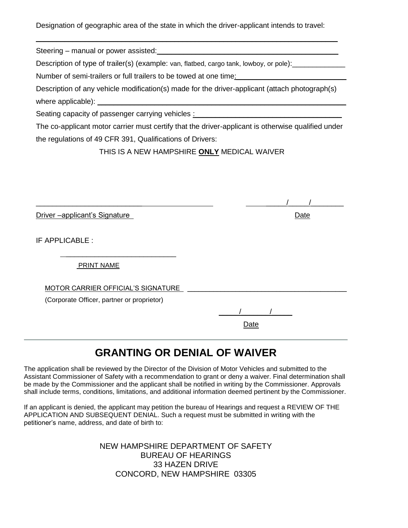Designation of geographic area of the state in which the driver-applicant intends to travel:

\_\_\_\_\_\_\_\_\_\_\_\_\_\_\_\_\_\_\_\_\_\_\_\_\_\_\_\_\_\_\_\_\_\_\_\_\_\_\_\_\_\_\_\_\_\_\_\_\_\_\_\_\_\_\_\_\_\_\_\_\_\_\_\_\_\_\_\_\_\_\_\_\_\_

Steering – manual or power assisted:  $\blacksquare$ 

Description of type of trailer(s) (example: van, flatbed, cargo tank, lowboy, or pole): \_\_\_\_\_\_\_\_\_\_\_

Number of semi-trailers or full trailers to be towed at one time:

| Description of any vehicle modification(s) made for the driver-applicant (attach photograph(s) |  |
|------------------------------------------------------------------------------------------------|--|
| where applicable):                                                                             |  |

Seating capacity of passenger carrying vehicles :

The co-applicant motor carrier must certify that the driver-applicant is otherwise qualified under the regulations of 49 CFR 391, Qualifications of Drivers:

THIS IS A NEW HAMPSHIRE **ONLY** MEDICAL WAIVER

Driver –applicant's Signature **Date of the Contract of Contract Contract Contract Contract Contract Contract Contract Contract Contract Contract Contract Contract Contract Contract Contract Contract Contract Contract Contr** 

IF APPLICABLE :

PRINT NAME

MOTOR CARRIER OFFICIAL'S SIGNATURE \_\_\_\_\_\_\_\_\_\_\_\_\_\_\_\_\_\_\_\_\_\_\_\_\_\_\_\_\_\_\_\_\_\_\_\_\_\_\_\_\_\_\_

 $\mathcal{L}_\text{max}$  and  $\mathcal{L}_\text{max}$  and  $\mathcal{L}_\text{max}$  and  $\mathcal{L}_\text{max}$ 

(Corporate Officer, partner or proprietor)

 $\frac{1}{\sqrt{2}}$ <u>Date</u> and the contract of the contract of the Date

### **GRANTING OR DENIAL OF WAIVER**

The application shall be reviewed by the Director of the Division of Motor Vehicles and submitted to the Assistant Commissioner of Safety with a recommendation to grant or deny a waiver. Final determination shall be made by the Commissioner and the applicant shall be notified in writing by the Commissioner. Approvals shall include terms, conditions, limitations, and additional information deemed pertinent by the Commissioner.

If an applicant is denied, the applicant may petition the bureau of Hearings and request a REVIEW OF THE APPLICATION AND SUBSEQUENT DENIAL. Such a request must be submitted in writing with the petitioner's name, address, and date of birth to:

> NEW HAMPSHIRE DEPARTMENT OF SAFETY BUREAU OF HEARINGS 33 HAZEN DRIVE CONCORD, NEW HAMPSHIRE 03305

 $\frac{1}{2}$  ,  $\frac{1}{2}$  ,  $\frac{1}{2}$  ,  $\frac{1}{2}$  ,  $\frac{1}{2}$  ,  $\frac{1}{2}$  ,  $\frac{1}{2}$  ,  $\frac{1}{2}$  ,  $\frac{1}{2}$  ,  $\frac{1}{2}$  ,  $\frac{1}{2}$  ,  $\frac{1}{2}$  ,  $\frac{1}{2}$  ,  $\frac{1}{2}$  ,  $\frac{1}{2}$  ,  $\frac{1}{2}$  ,  $\frac{1}{2}$  ,  $\frac{1}{2}$  ,  $\frac{1$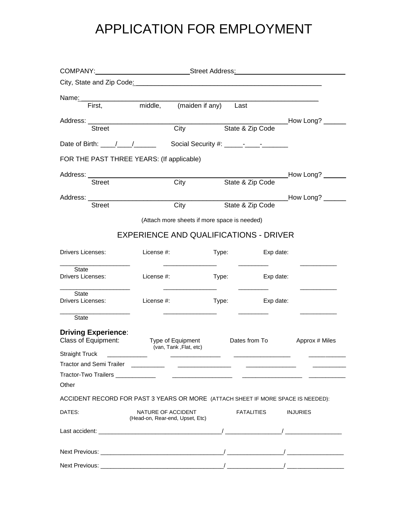# APPLICATION FOR EMPLOYMENT

|                                                   | COMPANY:__________________________________Street Address: ______________________ |       |                  |                                         |
|---------------------------------------------------|----------------------------------------------------------------------------------|-------|------------------|-----------------------------------------|
|                                                   |                                                                                  |       |                  |                                         |
| Name: 1                                           |                                                                                  |       |                  |                                         |
| First.                                            | middle, (maiden if any) Last                                                     |       |                  |                                         |
|                                                   |                                                                                  |       |                  | _How Long? ________                     |
| <b>Street</b>                                     | City                                                                             |       | State & Zip Code |                                         |
|                                                   |                                                                                  |       |                  |                                         |
|                                                   | FOR THE PAST THREE YEARS: (If applicable)                                        |       |                  |                                         |
| Address: _______________________________          |                                                                                  |       |                  | __________How Long? _______             |
| <b>Street</b>                                     | City                                                                             |       | State & Zip Code |                                         |
|                                                   |                                                                                  |       |                  | _____________________How Long? ________ |
| <b>Street</b>                                     | City                                                                             |       | State & Zip Code |                                         |
|                                                   | (Attach more sheets if more space is needed)                                     |       |                  |                                         |
|                                                   | <b>EXPERIENCE AND QUALIFICATIONS - DRIVER</b>                                    |       |                  |                                         |
| Drivers Licenses:                                 | License #:                                                                       | Type: | Exp date:        |                                         |
| State                                             |                                                                                  |       |                  |                                         |
| Drivers Licenses:                                 | License #:                                                                       | Type: | Exp date:        |                                         |
| State<br>Drivers Licenses:                        | License #:                                                                       | Type: | Exp date:        |                                         |
| State                                             |                                                                                  |       |                  |                                         |
| <b>Driving Experience:</b><br>Class of Equipment: | Type of Equipment                                                                |       | Dates from To    | Approx # Miles                          |
| Straight Truck ______________                     | (van, Tank, Flat, etc)                                                           |       |                  |                                         |
| <b>Tractor and Semi Trailer</b>                   |                                                                                  |       |                  |                                         |
|                                                   |                                                                                  |       |                  |                                         |
| Other                                             |                                                                                  |       |                  |                                         |
|                                                   | ACCIDENT RECORD FOR PAST 3 YEARS OR MORE (ATTACH SHEET IF MORE SPACE IS NEEDED): |       |                  |                                         |
| DATES:                                            | NATURE OF ACCIDENT<br>(Head-on, Rear-end, Upset, Etc)                            |       | FATALITIES       | <b>INJURIES</b>                         |
|                                                   |                                                                                  |       |                  |                                         |
|                                                   |                                                                                  |       |                  |                                         |
|                                                   |                                                                                  |       |                  |                                         |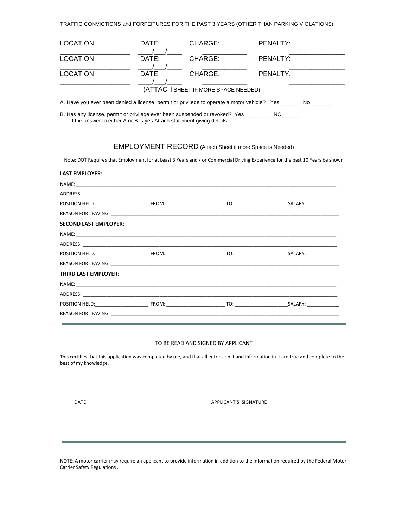TRAFFIC CONVICTIONS and FORFEITURES FOR THE PAST 3 YEARS (OTHER THAN PARKING VIOLATIONS):

| LOCATION:                                                                                                                                                                                                                      | DATE: | CHARGE:                                                         | PENALTY: |  |
|--------------------------------------------------------------------------------------------------------------------------------------------------------------------------------------------------------------------------------|-------|-----------------------------------------------------------------|----------|--|
| LOCATION:                                                                                                                                                                                                                      | DATE: | CHARGE:                                                         | PENALTY: |  |
| LOCATION:                                                                                                                                                                                                                      | DATE: | CHARGE:                                                         | PENALTY: |  |
|                                                                                                                                                                                                                                |       | (ATTACH SHEET IF MORE SPACE NEEDED)                             |          |  |
| A. Have you ever been denied a license, permit or privilege to operate a motor vehicle? Yes _______ No                                                                                                                         |       |                                                                 |          |  |
| B. Has any license, permit or privilege ever been suspended or revoked? Yes _________ NO______<br>If the answer to either A or B is yes Attach statement giving details :                                                      |       |                                                                 |          |  |
|                                                                                                                                                                                                                                |       | <b>EMPLOYMENT RECORD</b> (Attach Sheet if more Space is Needed) |          |  |
| Note: DOT Requires that Employment for at Least 3 Years and / or Commercial Driving Experience for the past 10 Years be shown                                                                                                  |       |                                                                 |          |  |
| <b>LAST EMPLOYER:</b>                                                                                                                                                                                                          |       |                                                                 |          |  |
| NAME:                                                                                                                                                                                                                          |       |                                                                 |          |  |
|                                                                                                                                                                                                                                |       |                                                                 |          |  |
|                                                                                                                                                                                                                                |       |                                                                 |          |  |
| REASON FOR LEAVING: The contract of the contract of the contract of the contract of the contract of the contract of the contract of the contract of the contract of the contract of the contract of the contract of the contra |       |                                                                 |          |  |
| <b>SECOND LAST EMPLOYER:</b>                                                                                                                                                                                                   |       |                                                                 |          |  |
|                                                                                                                                                                                                                                |       |                                                                 |          |  |
|                                                                                                                                                                                                                                |       |                                                                 |          |  |
|                                                                                                                                                                                                                                |       |                                                                 |          |  |
|                                                                                                                                                                                                                                |       |                                                                 |          |  |
| <b>THIRD LAST EMPLOYER:</b>                                                                                                                                                                                                    |       |                                                                 |          |  |
|                                                                                                                                                                                                                                |       |                                                                 |          |  |
|                                                                                                                                                                                                                                |       |                                                                 |          |  |
|                                                                                                                                                                                                                                |       |                                                                 |          |  |

### REASON FOR LEAVING: \_\_\_\_\_\_\_\_\_\_\_\_\_\_\_\_\_\_\_\_\_\_\_\_\_\_\_\_\_\_\_\_\_\_\_\_\_\_\_\_\_\_\_\_\_\_\_\_\_\_\_\_\_\_\_\_\_\_\_\_\_\_\_\_\_\_\_\_\_\_\_\_\_\_\_\_\_\_\_\_\_\_\_\_\_\_

#### TO BE READ AND SIGNED BY APPLICANT

This certifies that this application was completed by me, and that all entries on it and information in it are true and complete to the best of my knowledge.

\_\_\_\_\_\_\_\_\_\_\_\_\_\_\_\_\_\_\_\_\_\_\_\_\_\_\_\_\_\_\_\_\_ \_\_\_\_\_\_\_\_\_\_\_\_\_\_\_\_\_\_\_\_\_\_\_\_\_\_\_\_\_\_\_\_\_\_\_\_\_\_\_\_\_\_\_\_\_\_\_\_\_\_\_\_\_\_

DATE DATE APPLICANT'S SIGNATURE

NOTE: A motor carrier may require an applicant to provide information in addition to the information required by the Federal Motor Carrier Safety Regulations .